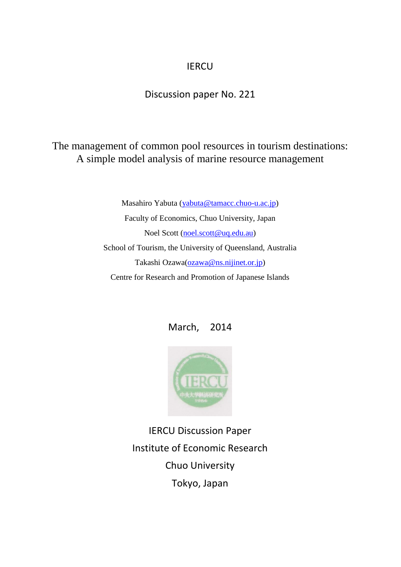## **IERCU**

### Discussion paper No. 221

## The management of common pool resources in tourism destinations: A simple model analysis of marine resource management

Masahiro Yabuta [\(yabuta@tamacc.chuo-u.ac.jp\)](mailto:yabuta@tamacc.chuo-u.ac.jp) Faculty of Economics, Chuo University, Japan Noel Scott [\(noel.scott@uq.edu.au\)](mailto:noel.scott@uq.edu.au) School of Tourism, the University of Queensland, Australia Takashi Ozawa[\(ozawa@ns.nijinet.or.jp\)](mailto:ozawa@ns.nijinet.or.jp) Centre for Research and Promotion of Japanese Islands





IERCU Discussion Paper Institute of Economic Research Chuo University Tokyo, Japan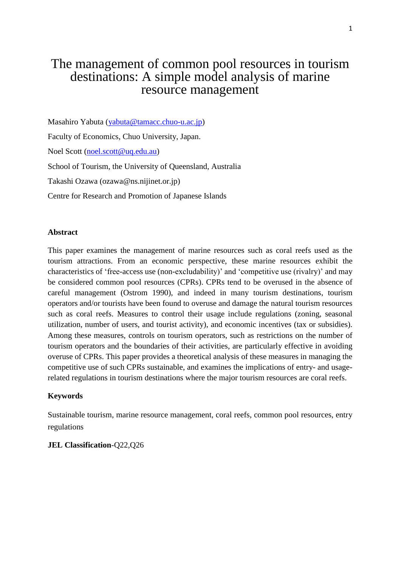# The management of common pool resources in tourism destinations: A simple model analysis of marine resource management

Masahiro Yabuta [\(yabuta@tamacc.chuo-u.ac.jp\)](mailto:yabuta@tamacc.chuo-u.ac.jp) Faculty of Economics, Chuo University, Japan. Noel Scott [\(noel.scott@uq.edu.au\)](mailto:noel.scott@uq.edu.au) School of Tourism, the University of Queensland, Australia Takashi Ozawa (ozawa@ns.nijinet.or.jp) Centre for Research and Promotion of Japanese Islands

#### **Abstract**

This paper examines the management of marine resources such as coral reefs used as the tourism attractions. From an economic perspective, these marine resources exhibit the characteristics of 'free-access use (non-excludability)' and 'competitive use (rivalry)' and may be considered common pool resources (CPRs). CPRs tend to be overused in the absence of careful management (Ostrom 1990), and indeed in many tourism destinations, tourism operators and/or tourists have been found to overuse and damage the natural tourism resources such as coral reefs. Measures to control their usage include regulations (zoning, seasonal utilization, number of users, and tourist activity), and economic incentives (tax or subsidies). Among these measures, controls on tourism operators, such as restrictions on the number of tourism operators and the boundaries of their activities, are particularly effective in avoiding overuse of CPRs. This paper provides a theoretical analysis of these measures in managing the competitive use of such CPRs sustainable, and examines the implications of entry- and usagerelated regulations in tourism destinations where the major tourism resources are coral reefs.

#### **Keywords**

Sustainable tourism, marine resource management, coral reefs, common pool resources, entry regulations

#### **JEL Classification**-Q22,Q26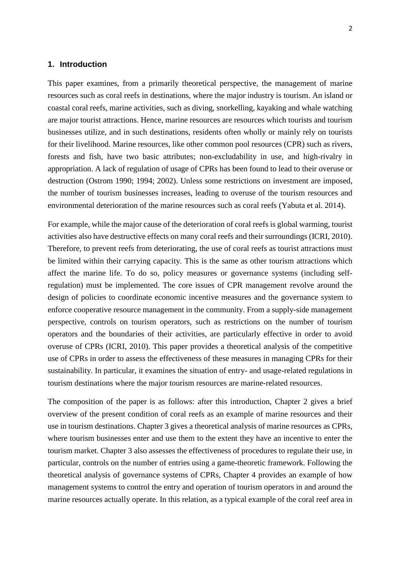#### **1. Introduction**

This paper examines, from a primarily theoretical perspective, the management of marine resources such as coral reefs in destinations, where the major industry is tourism. An island or coastal coral reefs, marine activities, such as diving, snorkelling, kayaking and whale watching are major tourist attractions. Hence, marine resources are resources which tourists and tourism businesses utilize, and in such destinations, residents often wholly or mainly rely on tourists for their livelihood. Marine resources, like other common pool resources (CPR) such as rivers, forests and fish, have two basic attributes; non-excludability in use, and high-rivalry in appropriation. A lack of regulation of usage of CPRs has been found to lead to their overuse or destruction (Ostrom 1990; 1994; 2002). Unless some restrictions on investment are imposed, the number of tourism businesses increases, leading to overuse of the tourism resources and environmental deterioration of the marine resources such as coral reefs (Yabuta et al. 2014).

For example, while the major cause of the deterioration of coral reefs is global warming, tourist activities also have destructive effects on many coral reefs and their surroundings (ICRI, 2010). Therefore, to prevent reefs from deteriorating, the use of coral reefs as tourist attractions must be limited within their carrying capacity. This is the same as other tourism attractions which affect the marine life. To do so, policy measures or governance systems (including selfregulation) must be implemented. The core issues of CPR management revolve around the design of policies to coordinate economic incentive measures and the governance system to enforce cooperative resource management in the community. From a supply-side management perspective, controls on tourism operators, such as restrictions on the number of tourism operators and the boundaries of their activities, are particularly effective in order to avoid overuse of CPRs (ICRI, 2010). This paper provides a theoretical analysis of the competitive use of CPRs in order to assess the effectiveness of these measures in managing CPRs for their sustainability. In particular, it examines the situation of entry- and usage-related regulations in tourism destinations where the major tourism resources are marine-related resources.

The composition of the paper is as follows: after this introduction, Chapter 2 gives a brief overview of the present condition of coral reefs as an example of marine resources and their use in tourism destinations. Chapter 3 gives a theoretical analysis of marine resources as CPRs, where tourism businesses enter and use them to the extent they have an incentive to enter the tourism market. Chapter 3 also assesses the effectiveness of procedures to regulate their use, in particular, controls on the number of entries using a game-theoretic framework. Following the theoretical analysis of governance systems of CPRs, Chapter 4 provides an example of how management systems to control the entry and operation of tourism operators in and around the marine resources actually operate. In this relation, as a typical example of the coral reef area in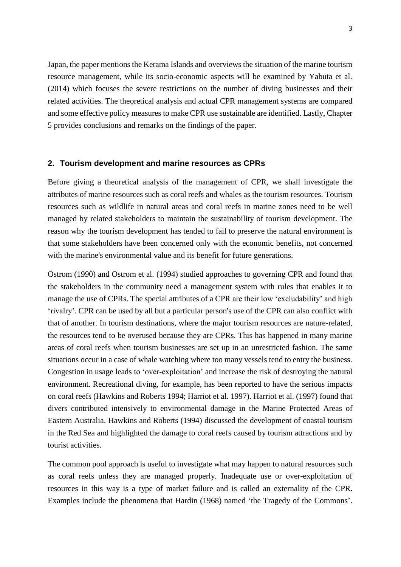Japan, the paper mentions the Kerama Islands and overviews the situation of the marine tourism resource management, while its socio-economic aspects will be examined by Yabuta et al. (2014) which focuses the severe restrictions on the number of diving businesses and their related activities. The theoretical analysis and actual CPR management systems are compared and some effective policy measures to make CPR use sustainable are identified. Lastly, Chapter 5 provides conclusions and remarks on the findings of the paper.

#### **2. Tourism development and marine resources as CPRs**

Before giving a theoretical analysis of the management of CPR, we shall investigate the attributes of marine resources such as coral reefs and whales as the tourism resources. Tourism resources such as wildlife in natural areas and coral reefs in marine zones need to be well managed by related stakeholders to maintain the sustainability of tourism development. The reason why the tourism development has tended to fail to preserve the natural environment is that some stakeholders have been concerned only with the economic benefits, not concerned with the marine's environmental value and its benefit for future generations.

Ostrom (1990) and Ostrom et al. (1994) studied approaches to governing CPR and found that the stakeholders in the community need a management system with rules that enables it to manage the use of CPRs. The special attributes of a CPR are their low 'excludability' and high 'rivalry'. CPR can be used by all but a particular person's use of the CPR can also conflict with that of another. In tourism destinations, where the major tourism resources are nature-related, the resources tend to be overused because they are CPRs. This has happened in many marine areas of coral reefs when tourism businesses are set up in an unrestricted fashion. The same situations occur in a case of whale watching where too many vessels tend to entry the business. Congestion in usage leads to 'over-exploitation' and increase the risk of destroying the natural environment. Recreational diving, for example, has been reported to have the serious impacts on coral reefs (Hawkins and Roberts 1994; Harriot et al. 1997). Harriot et al. (1997) found that divers contributed intensively to environmental damage in the Marine Protected Areas of Eastern Australia. Hawkins and Roberts (1994) discussed the development of coastal tourism in the Red Sea and highlighted the damage to coral reefs caused by tourism attractions and by tourist activities.

The common pool approach is useful to investigate what may happen to natural resources such as coral reefs unless they are managed properly. Inadequate use or over-exploitation of resources in this way is a type of market failure and is called an externality of the CPR. Examples include the phenomena that Hardin (1968) named 'the Tragedy of the Commons'.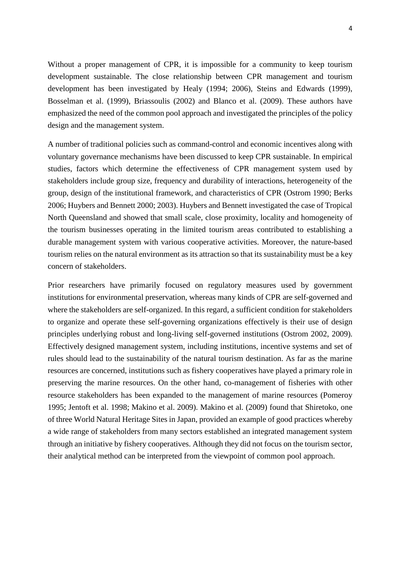Without a proper management of CPR, it is impossible for a community to keep tourism development sustainable. The close relationship between CPR management and tourism development has been investigated by Healy (1994; 2006), Steins and Edwards (1999), Bosselman et al. (1999), Briassoulis (2002) and Blanco et al. (2009). These authors have emphasized the need of the common pool approach and investigated the principles of the policy design and the management system.

A number of traditional policies such as command-control and economic incentives along with voluntary governance mechanisms have been discussed to keep CPR sustainable. In empirical studies, factors which determine the effectiveness of CPR management system used by stakeholders include group size, frequency and durability of interactions, heterogeneity of the group, design of the institutional framework, and characteristics of CPR (Ostrom 1990; Berks 2006; Huybers and Bennett 2000; 2003). Huybers and Bennett investigated the case of Tropical North Queensland and showed that small scale, close proximity, locality and homogeneity of the tourism businesses operating in the limited tourism areas contributed to establishing a durable management system with various cooperative activities. Moreover, the nature-based tourism relies on the natural environment as its attraction so that its sustainability must be a key concern of stakeholders.

Prior researchers have primarily focused on regulatory measures used by government institutions for environmental preservation, whereas many kinds of CPR are self-governed and where the stakeholders are self-organized. In this regard, a sufficient condition for stakeholders to organize and operate these self-governing organizations effectively is their use of design principles underlying robust and long-living self-governed institutions (Ostrom 2002, 2009). Effectively designed management system, including institutions, incentive systems and set of rules should lead to the sustainability of the natural tourism destination. As far as the marine resources are concerned, institutions such as fishery cooperatives have played a primary role in preserving the marine resources. On the other hand, co-management of fisheries with other resource stakeholders has been expanded to the management of marine resources (Pomeroy 1995; Jentoft et al. 1998; Makino et al. 2009). Makino et al. (2009) found that Shiretoko, one of three World Natural Heritage Sites in Japan, provided an example of good practices whereby a wide range of stakeholders from many sectors established an integrated management system through an initiative by fishery cooperatives. Although they did not focus on the tourism sector, their analytical method can be interpreted from the viewpoint of common pool approach.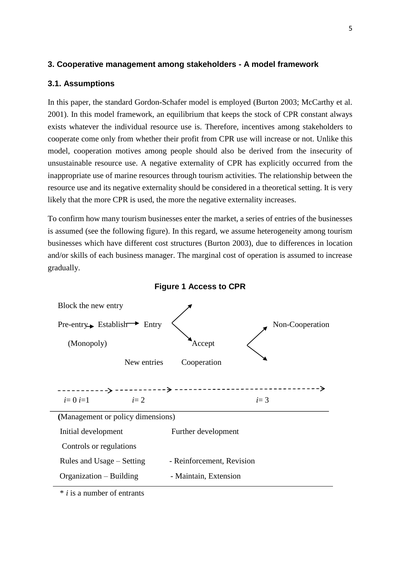#### **3. Cooperative management among stakeholders - A model framework**

#### **3.1. Assumptions**

In this paper, the standard Gordon-Schafer model is employed (Burton 2003; McCarthy et al. 2001). In this model framework, an equilibrium that keeps the stock of CPR constant always exists whatever the individual resource use is. Therefore, incentives among stakeholders to cooperate come only from whether their profit from CPR use will increase or not. Unlike this model, cooperation motives among people should also be derived from the insecurity of unsustainable resource use. A negative externality of CPR has explicitly occurred from the inappropriate use of marine resources through tourism activities. The relationship between the resource use and its negative externality should be considered in a theoretical setting. It is very likely that the more CPR is used, the more the negative externality increases.

To confirm how many tourism businesses enter the market, a series of entries of the businesses is assumed (see the following figure). In this regard, we assume heterogeneity among tourism businesses which have different cost structures (Burton 2003), due to differences in location and/or skills of each business manager. The marginal cost of operation is assumed to increase gradually.



**Figure 1 Access to CPR**

\* *i* is a number of entrants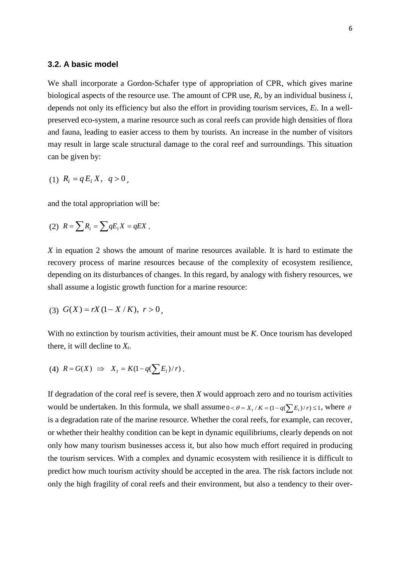#### **3.2. A basic model**

We shall incorporate a Gordon-Schafer type of appropriation of CPR, which gives marine biological aspects of the resource use. The amount of CPR use, *Ri*, by an individual business *i*, depends not only its efficiency but also the effort in providing tourism services, *Ei*. In a wellpreserved eco-system, a marine resource such as coral reefs can provide high densities of flora and fauna, leading to easier access to them by tourists. An increase in the number of visitors may result in large scale structural damage to the coral reef and surroundings. This situation can be given by:

(1) 
$$
R_i = q E_i X, q > 0,
$$

and the total appropriation will be:

$$
(2) \ \ R = \sum R_i = \sum q E_i X = q E X \ .
$$

*X* in equation 2 shows the amount of marine resources available. It is hard to estimate the recovery process of marine resources because of the complexity of ecosystem resilience, depending on its disturbances of changes. In this regard, by analogy with fishery resources, we shall assume a logistic growth function for a marine resource:

$$
(3) G(X) = rX(1 - X/K), r > 0,
$$

With no extinction by tourism activities, their amount must be *K*. Once tourism has developed there, it will decline to  $X_t$ .

$$
(4) \ \ R = G(X) \ \Rightarrow \ \ X_t = K(1-q(\sum E_i)/r) \ .
$$

If degradation of the coral reef is severe, then *X* would approach zero and no tourism activities would be undertaken. In this formula, we shall assume  $0 < \theta = X_t/K = (1 - q(\sum E_i)/r) \le 1$ , where  $\theta$ is a degradation rate of the marine resource. Whether the coral reefs, for example, can recover, or whether their healthy condition can be kept in dynamic equilibriums, clearly depends on not only how many tourism businesses access it, but also how much effort required in producing the tourism services. With a complex and dynamic ecosystem with resilience it is difficult to predict how much tourism activity should be accepted in the area. The risk factors include not only the high fragility of coral reefs and their environment, but also a tendency to their over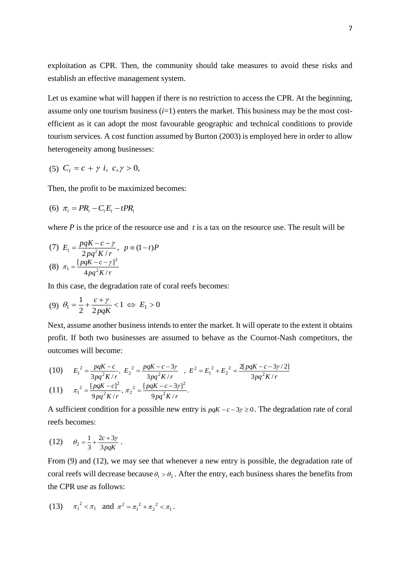exploitation as CPR. Then, the community should take measures to avoid these risks and establish an effective management system.

Let us examine what will happen if there is no restriction to access the CPR. At the beginning, assume only one tourism business  $(i=1)$  enters the market. This business may be the most costefficient as it can adopt the most favourable geographic and technical conditions to provide tourism services. A cost function assumed by Burton (2003) is employed here in order to allow heterogeneity among businesses:

(5) 
$$
C_i = c + \gamma i, \ c, \gamma > 0
$$
,

Then, the profit to be maximized becomes:

$$
(6) \ \pi_i = PR_i - C_i E_i - tPR_i
$$

where *P* is the price of the resource use and *t* is a tax on the resource use. The result will be

(7) 
$$
E_1 = \frac{pqK - c - \gamma}{2pq^2K/r}, \quad p = (1-t)P
$$
  
(8)  $\pi_1 = \frac{[pqK - c - \gamma]^2}{4pq^2K/r}$ 

In this case, the degradation rate of coral reefs becomes:

$$
(9) \ \theta_1 = \frac{1}{2} + \frac{c + \gamma}{2pqK} < 1 \iff E_1 > 0
$$

Next, assume another business intends to enter the market. It will operate to the extent it obtains profit. If both two businesses are assumed to behave as the Cournot-Nash competitors, the outcomes will become:

(10) 
$$
E_1^2 = \frac{pqK - c}{3pq^2K/r}, E_2^2 = \frac{pqK - c - 3\gamma}{3pq^2K/r}, E_2^2 = E_1^2 + E_2^2 = \frac{2[pqK - c - 3\gamma/2]}{3pq^2K/r}
$$
  
(11) 
$$
\pi_1^2 = \frac{[pqK - c]^2}{9pq^2K/r}, \pi_2^2 = \frac{[pqK - c - 3\gamma]^2}{9pq^2K/r}.
$$

A sufficient condition for a possible new entry is  $pqK - c - 3\gamma \ge 0$ . The degradation rate of coral reefs becomes:

(12) 
$$
\theta_2 = \frac{1}{3} + \frac{2c + 3\gamma}{3pqK}.
$$

From (9) and (12), we may see that whenever a new entry is possible, the degradation rate of coral reefs will decrease because  $\theta_1 > \theta_2$ . After the entry, each business shares the benefits from the CPR use as follows:

(13) 
$$
\pi_1^2 < \pi_1
$$
 and  $\pi^2 = \pi_1^2 + \pi_2^2 < \pi_1$ .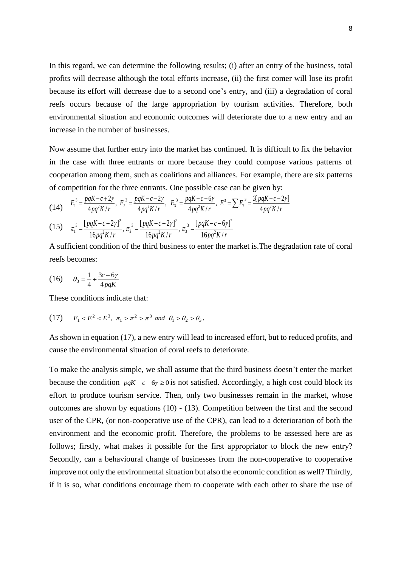In this regard, we can determine the following results; (i) after an entry of the business, total profits will decrease although the total efforts increase, (ii) the first comer will lose its profit because its effort will decrease due to a second one's entry, and (iii) a degradation of coral reefs occurs because of the large appropriation by tourism activities. Therefore, both environmental situation and economic outcomes will deteriorate due to a new entry and an increase in the number of businesses.

Now assume that further entry into the market has continued. It is difficult to fix the behavior in the case with three entrants or more because they could compose various patterns of cooperation among them, such as coalitions and alliances. For example, there are six patterns of competition for the three entrants. One possible case can be given by:

$$
(14) \t E_1^3 = \frac{pqK - c + 2\gamma}{4pq^2K/r}, \t E_2^3 = \frac{pqK - c - 2\gamma}{4pq^2K/r}, \t E_3^3 = \frac{pqK - c - 6\gamma}{4pq^2K/r}, \t E_3^3 = \sum E_i^3 = \frac{3[pqK - c - 2\gamma]}{4pq^2K/r}
$$

(15) 
$$
\pi_1^3 = \frac{[pqK - c + 2\gamma]^2}{16pq^2K/r}, \pi_2^3 = \frac{[pqK - c - 2\gamma]^2}{16pq^2K/r}, \pi_3^3 = \frac{[pqK - c - 6\gamma]^2}{16pq^2K/r}
$$

A sufficient condition of the third business to enter the market is.The degradation rate of coral reefs becomes:

(16) 
$$
\theta_3 = \frac{1}{4} + \frac{3c + 6\gamma}{4pqK}
$$

These conditions indicate that:

(17) 
$$
E_1 < E^2 < E^3
$$
,  $\pi_1 > \pi^2 > \pi^3$  and  $\theta_1 > \theta_2 > \theta_3$ .

As shown in equation (17), a new entry will lead to increased effort, but to reduced profits, and cause the environmental situation of coral reefs to deteriorate.

To make the analysis simple, we shall assume that the third business doesn't enter the market because the condition  $pqK - c - 6\gamma \ge 0$  is not satisfied. Accordingly, a high cost could block its effort to produce tourism service. Then, only two businesses remain in the market, whose outcomes are shown by equations (10) - (13). Competition between the first and the second user of the CPR, (or non-cooperative use of the CPR), can lead to a deterioration of both the environment and the economic profit. Therefore, the problems to be assessed here are as follows; firstly, what makes it possible for the first appropriator to block the new entry? Secondly, can a behavioural change of businesses from the non-cooperative to cooperative improve not only the environmental situation but also the economic condition as well? Thirdly, if it is so, what conditions encourage them to cooperate with each other to share the use of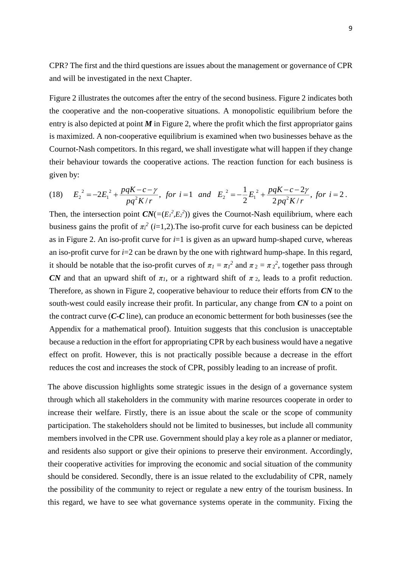CPR? The first and the third questions are issues about the management or governance of CPR and will be investigated in the next Chapter.

Figure 2 illustrates the outcomes after the entry of the second business. Figure 2 indicates both the cooperative and the non-cooperative situations. A monopolistic equilibrium before the entry is also depicted at point  $M$  in Figure 2, where the profit which the first appropriator gains is maximized. A non-cooperative equilibrium is examined when two businesses behave as the Cournot-Nash competitors. In this regard, we shall investigate what will happen if they change their behaviour towards the cooperative actions. The reaction function for each business is given by:

(18) 
$$
E_2^2 = -2E_1^2 + \frac{pqK - c - \gamma}{pq^2K/r}
$$
, for  $i = 1$  and  $E_2^2 = -\frac{1}{2}E_1^2 + \frac{pqK - c - 2\gamma}{2pq^2K/r}$ , for  $i = 2$ .

Then, the intersection point  $CN = (E_1^2, E_2^2)$  gives the Cournot-Nash equilibrium, where each business gains the profit of  $\pi$ <sup>2</sup> (*i*=1,2). The iso-profit curve for each business can be depicted as in Figure 2. An iso-profit curve for *i*=1 is given as an upward hump-shaped curve, whereas an iso-profit curve for *i*=2 can be drawn by the one with rightward hump-shape. In this regard, it should be notable that the iso-profit curves of  $\pi_l = \pi_l^2$  and  $\pi_2 = \pi_2^2$ , together pass through *CN* and that an upward shift of  $\pi_l$ , or a rightward shift of  $\pi_2$ , leads to a profit reduction. Therefore, as shown in Figure 2, cooperative behaviour to reduce their efforts from *CN* to the south-west could easily increase their profit. In particular, any change from *CN* to a point on the contract curve (*C-C* line), can produce an economic betterment for both businesses (see the Appendix for a mathematical proof). Intuition suggests that this conclusion is unacceptable because a reduction in the effort for appropriating CPR by each business would have a negative effect on profit. However, this is not practically possible because a decrease in the effort reduces the cost and increases the stock of CPR, possibly leading to an increase of profit.

The above discussion highlights some strategic issues in the design of a governance system through which all stakeholders in the community with marine resources cooperate in order to increase their welfare. Firstly, there is an issue about the scale or the scope of community participation. The stakeholders should not be limited to businesses, but include all community members involved in the CPR use. Government should play a key role as a planner or mediator, and residents also support or give their opinions to preserve their environment. Accordingly, their cooperative activities for improving the economic and social situation of the community should be considered. Secondly, there is an issue related to the excludability of CPR, namely the possibility of the community to reject or regulate a new entry of the tourism business. In this regard, we have to see what governance systems operate in the community. Fixing the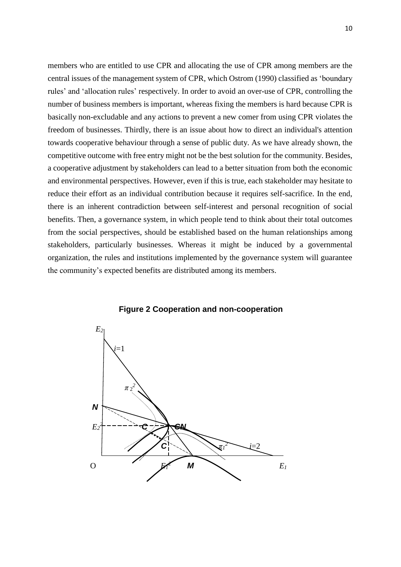members who are entitled to use CPR and allocating the use of CPR among members are the central issues of the management system of CPR, which Ostrom (1990) classified as 'boundary rules' and 'allocation rules' respectively. In order to avoid an over-use of CPR, controlling the number of business members is important, whereas fixing the members is hard because CPR is basically non-excludable and any actions to prevent a new comer from using CPR violates the freedom of businesses. Thirdly, there is an issue about how to direct an individual's attention towards cooperative behaviour through a sense of public duty. As we have already shown, the competitive outcome with free entry might not be the best solution for the community. Besides, a cooperative adjustment by stakeholders can lead to a better situation from both the economic and environmental perspectives. However, even if this is true, each stakeholder may hesitate to reduce their effort as an individual contribution because it requires self-sacrifice. In the end, there is an inherent contradiction between self-interest and personal recognition of social benefits. Then, a governance system, in which people tend to think about their total outcomes from the social perspectives, should be established based on the human relationships among stakeholders, particularly businesses. Whereas it might be induced by a governmental organization, the rules and institutions implemented by the governance system will guarantee the community's expected benefits are distributed among its members.



**Figure 2 Cooperation and non-cooperation**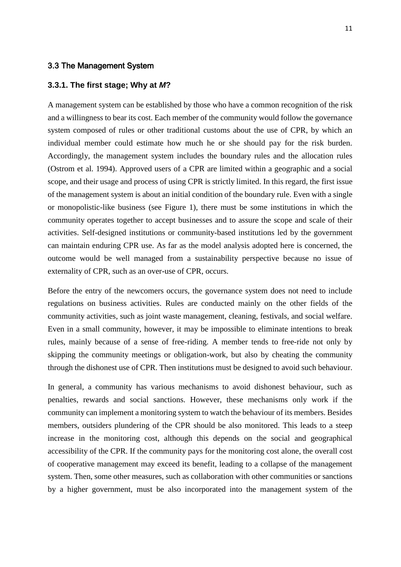#### 3.3 The Management System

#### **3.3.1. The first stage; Why at** *M***?**

A management system can be established by those who have a common recognition of the risk and a willingness to bear its cost. Each member of the community would follow the governance system composed of rules or other traditional customs about the use of CPR, by which an individual member could estimate how much he or she should pay for the risk burden. Accordingly, the management system includes the boundary rules and the allocation rules (Ostrom et al. 1994). Approved users of a CPR are limited within a geographic and a social scope, and their usage and process of using CPR is strictly limited. In this regard, the first issue of the management system is about an initial condition of the boundary rule. Even with a single or monopolistic-like business (see Figure 1), there must be some institutions in which the community operates together to accept businesses and to assure the scope and scale of their activities. Self-designed institutions or community-based institutions led by the government can maintain enduring CPR use. As far as the model analysis adopted here is concerned, the outcome would be well managed from a sustainability perspective because no issue of externality of CPR, such as an over-use of CPR, occurs.

Before the entry of the newcomers occurs, the governance system does not need to include regulations on business activities. Rules are conducted mainly on the other fields of the community activities, such as joint waste management, cleaning, festivals, and social welfare. Even in a small community, however, it may be impossible to eliminate intentions to break rules, mainly because of a sense of free-riding. A member tends to free-ride not only by skipping the community meetings or obligation-work, but also by cheating the community through the dishonest use of CPR. Then institutions must be designed to avoid such behaviour.

In general, a community has various mechanisms to avoid dishonest behaviour, such as penalties, rewards and social sanctions. However, these mechanisms only work if the community can implement a monitoring system to watch the behaviour of its members. Besides members, outsiders plundering of the CPR should be also monitored. This leads to a steep increase in the monitoring cost, although this depends on the social and geographical accessibility of the CPR. If the community pays for the monitoring cost alone, the overall cost of cooperative management may exceed its benefit, leading to a collapse of the management system. Then, some other measures, such as collaboration with other communities or sanctions by a higher government, must be also incorporated into the management system of the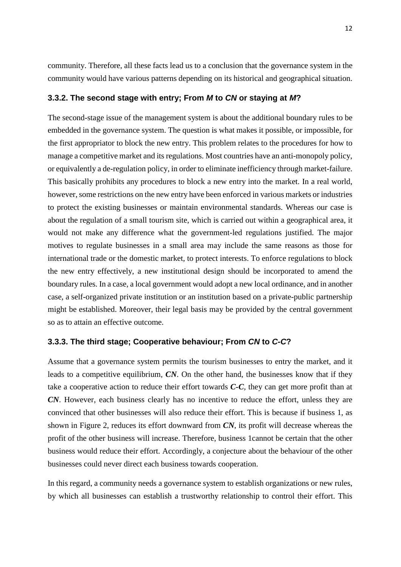community. Therefore, all these facts lead us to a conclusion that the governance system in the community would have various patterns depending on its historical and geographical situation.

#### **3.3.2. The second stage with entry; From** *M* **to** *CN* **or staying at** *M***?**

The second-stage issue of the management system is about the additional boundary rules to be embedded in the governance system. The question is what makes it possible, or impossible, for the first appropriator to block the new entry. This problem relates to the procedures for how to manage a competitive market and its regulations. Most countries have an anti-monopoly policy, or equivalently a de-regulation policy, in order to eliminate inefficiency through market-failure. This basically prohibits any procedures to block a new entry into the market. In a real world, however, some restrictions on the new entry have been enforced in various markets or industries to protect the existing businesses or maintain environmental standards. Whereas our case is about the regulation of a small tourism site, which is carried out within a geographical area, it would not make any difference what the government-led regulations justified. The major motives to regulate businesses in a small area may include the same reasons as those for international trade or the domestic market, to protect interests. To enforce regulations to block the new entry effectively, a new institutional design should be incorporated to amend the boundary rules. In a case, a local government would adopt a new local ordinance, and in another case, a self-organized private institution or an institution based on a private-public partnership might be established. Moreover, their legal basis may be provided by the central government so as to attain an effective outcome.

#### **3.3.3. The third stage; Cooperative behaviour; From** *CN* **to** *C-C***?**

Assume that a governance system permits the tourism businesses to entry the market, and it leads to a competitive equilibrium, *CN*. On the other hand, the businesses know that if they take a cooperative action to reduce their effort towards *C-C*, they can get more profit than at *CN*. However, each business clearly has no incentive to reduce the effort, unless they are convinced that other businesses will also reduce their effort. This is because if business 1, as shown in Figure 2, reduces its effort downward from *CN*, its profit will decrease whereas the profit of the other business will increase. Therefore, business 1cannot be certain that the other business would reduce their effort. Accordingly, a conjecture about the behaviour of the other businesses could never direct each business towards cooperation.

In this regard, a community needs a governance system to establish organizations or new rules, by which all businesses can establish a trustworthy relationship to control their effort. This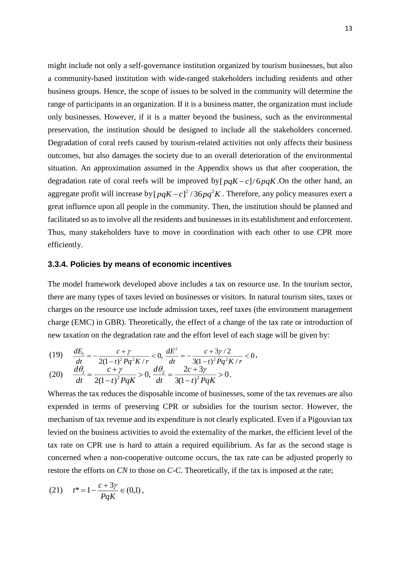might include not only a self-governance institution organized by tourism businesses, but also a community-based institution with wide-ranged stakeholders including residents and other business groups. Hence, the scope of issues to be solved in the community will determine the range of participants in an organization. If it is a business matter, the organization must include only businesses. However, if it is a matter beyond the business, such as the environmental preservation, the institution should be designed to include all the stakeholders concerned. Degradation of coral reefs caused by tourism-related activities not only affects their business outcomes, but also damages the society due to an overall deterioration of the environmental situation. An approximation assumed in the Appendix shows us that after cooperation, the degradation rate of coral reefs will be improved by  $[pqK-c]/6pqK$ . On the other hand, an aggregate profit will increase by  $[pqK-c]^2/36pq^2K$ . Therefore, any policy measures exert a great influence upon all people in the community. Then, the institution should be planned and facilitated so as to involve all the residents and businesses in its establishment and enforcement. Thus, many stakeholders have to move in coordination with each other to use CPR more efficiently.

#### **3.3.4. Policies by means of economic incentives**

The model framework developed above includes a tax on resource use. In the tourism sector, there are many types of taxes levied on businesses or visitors. In natural tourism sites, taxes or charges on the resource use include admission taxes, reef taxes (the environment management charge (EMC) in GBR). Theoretically, the effect of a change of the tax rate or introduction of new taxation on the degradation rate and the effort level of each stage will be given by:

(19) 
$$
\frac{dE_1}{dt} = -\frac{c + \gamma}{2(1-t)^2 Pq^2 K/r} < 0, \frac{dE^2}{dt} = -\frac{c + 3\gamma/2}{3(1-t)^2 Pq^2 K/r} < 0,
$$

$$
(20) \quad \frac{d\theta_1}{dt} = \frac{c + \gamma}{2(1 - t)^2 PqK} > 0, \frac{d\theta_2}{dt} = \frac{2c + 3\gamma}{3(1 - t)^2 PqK} > 0.
$$

Whereas the tax reduces the disposable income of businesses, some of the tax revenues are also expended in terms of preserving CPR or subsidies for the tourism sector. However, the mechanism of tax revenue and its expenditure is not clearly explicated. Even if a Pigouvian tax levied on the business activities to avoid the externality of the market, the efficient level of the tax rate on CPR use is hard to attain a required equilibrium. As far as the second stage is concerned when a non-cooperative outcome occurs, the tax rate can be adjusted properly to restore the efforts on *CN* to those on *C-C*. Theoretically, if the tax is imposed at the rate;

(21) 
$$
t^* = 1 - \frac{c + 3\gamma}{PqK} \in (0,1),
$$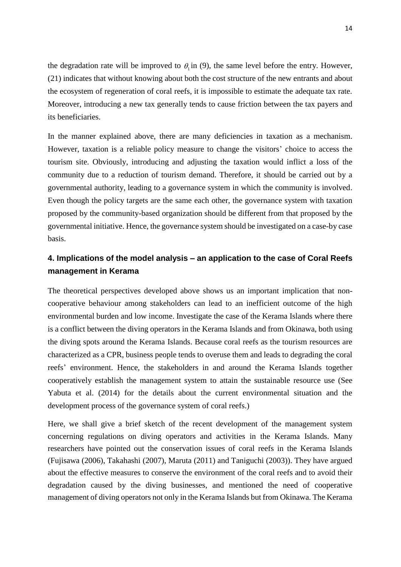the degradation rate will be improved to  $\theta_1$  in (9), the same level before the entry. However, (21) indicates that without knowing about both the cost structure of the new entrants and about the ecosystem of regeneration of coral reefs, it is impossible to estimate the adequate tax rate. Moreover, introducing a new tax generally tends to cause friction between the tax payers and its beneficiaries.

In the manner explained above, there are many deficiencies in taxation as a mechanism. However, taxation is a reliable policy measure to change the visitors' choice to access the tourism site. Obviously, introducing and adjusting the taxation would inflict a loss of the community due to a reduction of tourism demand. Therefore, it should be carried out by a governmental authority, leading to a governance system in which the community is involved. Even though the policy targets are the same each other, the governance system with taxation proposed by the community-based organization should be different from that proposed by the governmental initiative. Hence, the governance system should be investigated on a case-by case basis.

### **4. Implications of the model analysis – an application to the case of Coral Reefs management in Kerama**

The theoretical perspectives developed above shows us an important implication that noncooperative behaviour among stakeholders can lead to an inefficient outcome of the high environmental burden and low income. Investigate the case of the Kerama Islands where there is a conflict between the diving operators in the Kerama Islands and from Okinawa, both using the diving spots around the Kerama Islands. Because coral reefs as the tourism resources are characterized as a CPR, business people tends to overuse them and leads to degrading the coral reefs' environment. Hence, the stakeholders in and around the Kerama Islands together cooperatively establish the management system to attain the sustainable resource use (See Yabuta et al. (2014) for the details about the current environmental situation and the development process of the governance system of coral reefs.)

Here, we shall give a brief sketch of the recent development of the management system concerning regulations on diving operators and activities in the Kerama Islands. Many researchers have pointed out the conservation issues of coral reefs in the Kerama Islands (Fujisawa (2006), Takahashi (2007), Maruta (2011) and Taniguchi (2003)). They have argued about the effective measures to conserve the environment of the coral reefs and to avoid their degradation caused by the diving businesses, and mentioned the need of cooperative management of diving operators not only in the Kerama Islands but from Okinawa. The Kerama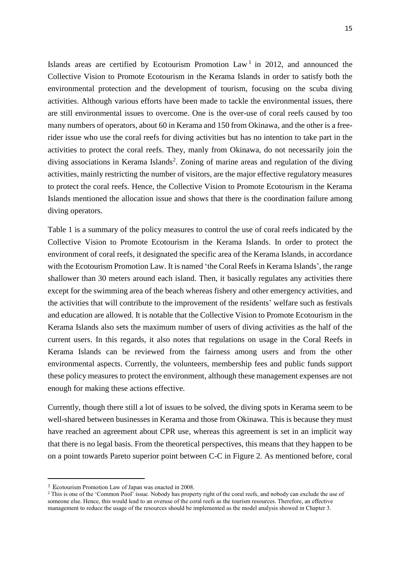Islands areas are certified by Ecotourism Promotion  $Law<sup>1</sup>$  in 2012, and announced the Collective Vision to Promote Ecotourism in the Kerama Islands in order to satisfy both the environmental protection and the development of tourism, focusing on the scuba diving activities. Although various efforts have been made to tackle the environmental issues, there are still environmental issues to overcome. One is the over-use of coral reefs caused by too many numbers of operators, about 60 in Kerama and 150 from Okinawa, and the other is a freerider issue who use the coral reefs for diving activities but has no intention to take part in the activities to protect the coral reefs. They, manly from Okinawa, do not necessarily join the diving associations in Kerama Islands<sup>2</sup>. Zoning of marine areas and regulation of the diving activities, mainly restricting the number of visitors, are the major effective regulatory measures to protect the coral reefs. Hence, the Collective Vision to Promote Ecotourism in the Kerama Islands mentioned the allocation issue and shows that there is the coordination failure among diving operators.

Table 1 is a summary of the policy measures to control the use of coral reefs indicated by the Collective Vision to Promote Ecotourism in the Kerama Islands. In order to protect the environment of coral reefs, it designated the specific area of the Kerama Islands, in accordance with the Ecotourism Promotion Law. It is named 'the Coral Reefs in Kerama Islands', the range shallower than 30 meters around each island. Then, it basically regulates any activities there except for the swimming area of the beach whereas fishery and other emergency activities, and the activities that will contribute to the improvement of the residents' welfare such as festivals and education are allowed. It is notable that the Collective Vision to Promote Ecotourism in the Kerama Islands also sets the maximum number of users of diving activities as the half of the current users. In this regards, it also notes that regulations on usage in the Coral Reefs in Kerama Islands can be reviewed from the fairness among users and from the other environmental aspects. Currently, the volunteers, membership fees and public funds support these policy measures to protect the environment, although these management expenses are not enough for making these actions effective.

Currently, though there still a lot of issues to be solved, the diving spots in Kerama seem to be well-shared between businesses in Kerama and those from Okinawa. This is because they must have reached an agreement about CPR use, whereas this agreement is set in an implicit way that there is no legal basis. From the theoretical perspectives, this means that they happen to be on a point towards Pareto superior point between C-C in Figure 2. As mentioned before, coral

 $\overline{\phantom{a}}$ 

<sup>1</sup> Ecotourism Promotion Law of Japan was enacted in 2008.

<sup>&</sup>lt;sup>2</sup> This is one of the 'Common Pool' issue. Nobody has property right of the coral reefs, and nobody can exclude the use of someone else. Hence, this would lead to an overuse of the coral reefs as the tourism resources. Therefore, an effective management to reduce the usage of the resources should be implemented as the model analysis showed in Chapter 3.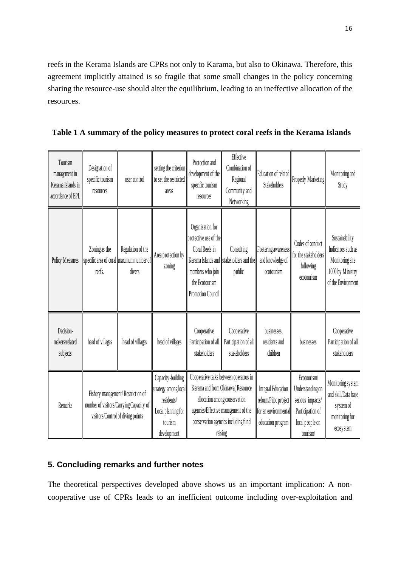reefs in the Kerama Islands are CPRs not only to Karama, but also to Okinawa. Therefore, this agreement implicitly attained is so fragile that some small changes in the policy concerning sharing the resource-use should alter the equilibrium, leading to an ineffective allocation of the resources.

**Table 1 A summary of the policy measures to protect coral reefs in the Kerama Islands**

| Tourism<br>management in<br>Kerama Islands in<br>accordance of EPL | Designation of<br>specific tourism<br>resources                                                                   | user control                                                            | setting the criterion<br>to set the restricted<br>areas                                                 | Protection and<br>development of the<br>specific tourism<br>resources                                                                                                                                  | Effective<br>Combination of<br>Regional<br>Community and<br>Networking | Education of related<br><b>Stakeholders</b>                                                    | Properly Marketing                                                                                     | Monitoring and<br>Study                                                                           |
|--------------------------------------------------------------------|-------------------------------------------------------------------------------------------------------------------|-------------------------------------------------------------------------|---------------------------------------------------------------------------------------------------------|--------------------------------------------------------------------------------------------------------------------------------------------------------------------------------------------------------|------------------------------------------------------------------------|------------------------------------------------------------------------------------------------|--------------------------------------------------------------------------------------------------------|---------------------------------------------------------------------------------------------------|
| Policy Measures                                                    | Zoning as the<br>reefs.                                                                                           | Regulation of the<br>specific area of coral maximum number of<br>divers | Area protection by<br>zoning                                                                            | Organization for<br>protective use of the<br>Coral Reefs in<br>members who join<br>the Ecotourism<br><b>Promotion Council</b>                                                                          | Consulting<br>Kerama Islands and stakeholders and the<br>public        | Fostering awareness<br>and knowledge of<br>ecotourism                                          | Codes of conduct<br>for the stakeholders<br>following<br>ecotourism                                    | Sustainability<br>Indicators such as<br>Monitoring site<br>1000 by Ministry<br>of the Environment |
| Decision-<br>makers/related<br>subjects                            | head of villages                                                                                                  | head of villages                                                        | head of villages                                                                                        | Cooperative<br>Participation of all<br>stakeholders                                                                                                                                                    | Cooperative<br>Participation of all<br>stakeholders                    | businesses,<br>residents and<br>children                                                       | businesses                                                                                             | Cooperative<br>Participation of all<br>stakeholders                                               |
| Remarks                                                            | Fishery management/Restriction of<br>number of visitors/Carrying Capacity of<br>visitors/Control of diving points |                                                                         | Capacity-building<br>strategy among local<br>residents/<br>Local planning for<br>tourism<br>development | Cooperative talks between operators in<br>Kerama and from Okinawa(Resource<br>allocation among conservation<br>agencies/Effective management of the<br>conservation agencies including fund<br>raising |                                                                        | <b>Integral Education</b><br>reform/Pilot project<br>for an environmental<br>education program | Ecotourism/<br>Understanding on<br>serious impacts/<br>Participation of<br>local people on<br>tourism/ | Monitoring system<br>and skill/Data base<br>system of<br>monitoring for<br>ecosystem              |

### **5. Concluding remarks and further notes**

The theoretical perspectives developed above shows us an important implication: A noncooperative use of CPRs leads to an inefficient outcome including over-exploitation and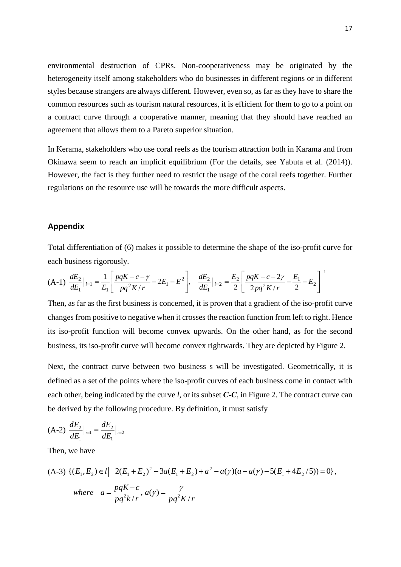environmental destruction of CPRs. Non-cooperativeness may be originated by the heterogeneity itself among stakeholders who do businesses in different regions or in different styles because strangers are always different. However, even so, as far as they have to share the common resources such as tourism natural resources, it is efficient for them to go to a point on a contract curve through a cooperative manner, meaning that they should have reached an agreement that allows them to a Pareto superior situation.

In Kerama, stakeholders who use coral reefs as the tourism attraction both in Karama and from Okinawa seem to reach an implicit equilibrium (For the details, see Yabuta et al. (2014)). However, the fact is they further need to restrict the usage of the coral reefs together. Further regulations on the resource use will be towards the more difficult aspects.

#### **Appendix**

Total differentiation of (6) makes it possible to determine the shape of the iso-profit curve for each business rigorously.

$$
(A-1)\frac{dE_2}{dE_1}\Big|_{i=1} = \frac{1}{E_1} \left[ \frac{pqK - c - \gamma}{pq^2K/r} - 2E_1 - E^2 \right], \frac{dE_2}{dE_1}\Big|_{i=2} = \frac{E_2}{2} \left[ \frac{pqK - c - 2\gamma}{2pq^2K/r} - \frac{E_1}{2} - E_2 \right]^{-1}
$$

Then, as far as the first business is concerned, it is proven that a gradient of the iso-profit curve changes from positive to negative when it crosses the reaction function from left to right. Hence its iso-profit function will become convex upwards. On the other hand, as for the second business, its iso-profit curve will become convex rightwards. They are depicted by Figure 2.

Next, the contract curve between two business s will be investigated. Geometrically, it is defined as a set of the points where the iso-profit curves of each business come in contact with each other, being indicated by the curve *l*, or its subset *C-C*, in Figure 2. The contract curve can be derived by the following procedure. By definition, it must satisfy

$$
(A-2)\frac{dE_2}{dE_1}\Big|_{i=1} = \frac{dE_2}{dE_1}\Big|_{i=2}
$$

Then, we have

(A-3) 
$$
\{(E_1, E_2) \in l \mid 2(E_1 + E_2)^2 - 3a(E_1 + E_2) + a^2 - a(\gamma)(a - a(\gamma) - 5(E_1 + 4E_2/5)) = 0\},
$$
  
\nwhere  $a = \frac{pqK - c}{pq^2k/r}$ ,  $a(\gamma) = \frac{\gamma}{pq^2K/r}$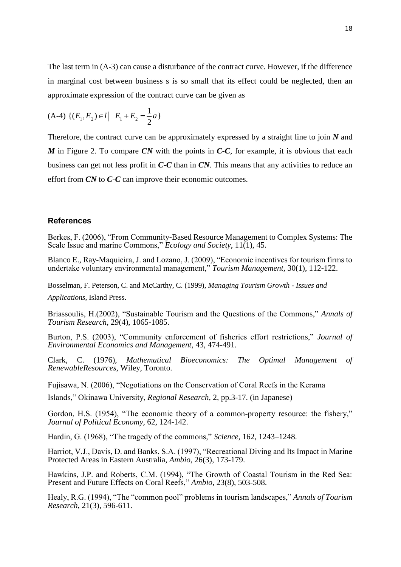The last term in (A-3) can cause a disturbance of the contract curve. However, if the difference in marginal cost between business s is so small that its effect could be neglected, then an approximate expression of the contract curve can be given as

$$
(A-4) \{(E_1, E_2) \in l \mid E_1 + E_2 = \frac{1}{2}a\}
$$

Therefore, the contract curve can be approximately expressed by a straight line to join *N* and *M* in Figure 2. To compare *CN* with the points in *C-C*, for example, it is obvious that each business can get not less profit in *C-C* than in *CN*. This means that any activities to reduce an effort from *CN* to *C-C* can improve their economic outcomes.

#### **References**

Berkes, F. (2006), "From Community-Based Resource Management to Complex Systems: The Scale Issue and marine Commons," *Ecology and Society*, 11(1), 45.

Blanco E., Ray-Maquieira, J. and Lozano, J. (2009), "Economic incentives for tourism firms to undertake voluntary environmental management," *Tourism Management,* 30(1), 112-122.

Bosselman, F. Peterson, C. and McCarthy, C. (1999), *Managing Tourism Growth - Issues and* 

*Applications*, Island Press.

Briassoulis, H.(2002), "Sustainable Tourism and the Questions of the Commons," *Annals of Tourism Research*, 29(4), 1065-1085.

Burton, P.S. (2003), "Community enforcement of fisheries effort restrictions," *Journal of Environmental Economics and Management*, 43, 474-491.

Clark, C. (1976), *Mathematical Bioeconomics: The Optimal Management of RenewableResources*, Wiley, Toronto.

Fujisawa, N. (2006), "Negotiations on the Conservation of Coral Reefs in the Kerama

Islands," Okinawa University, *Regional Research*, 2, pp.3-17. (in Japanese)

Gordon, H.S. (1954), "The economic theory of a common-property resource: the fishery," *Journal of Political Economy,* 62, 124-142.

Hardin, G. (1968), "The tragedy of the commons," *Science*, 162, 1243–1248.

Harriot, V.J., Davis, D. and Banks, S.A. (1997), "Recreational Diving and Its Impact in Marine Protected Areas in Eastern Australia, *Ambio*, 26(3), 173-179.

Hawkins, J.P. and Roberts, C.M. (1994), "The Growth of Coastal Tourism in the Red Sea: Present and Future Effects on Coral Reefs," *Ambio*, 23(8), 503-508.

Healy, R.G. (1994), "The "common pool" problems in tourism landscapes," *Annals of Tourism Research*, 21(3), 596-611.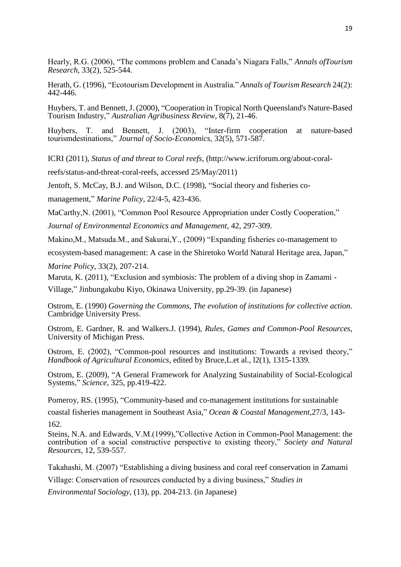Hearly, R.G. (2006), "The commons problem and Canada's Niagara Falls," *Annals ofTourism Research*, 33(2), 525-544.

Herath, G. (1996), "Ecotourism Development in Australia." *Annals of Tourism Research* 24(2): 442-446.

Huybers, T. and Bennett, J. (2000), "Cooperation in Tropical North Queensland's Nature-Based Tourism Industry," *Australian Agribusiness Review*, 8(7), 21-46.

Huybers, T. and Bennett, J. (2003), "Inter-firm cooperation at nature-based tourismdestinations," *Journal of Socio-Economics*, 32(5), 571-587.

ICRI (2011), *Status of and threat to Coral reefs*, [\(http://www.icriforum.org/about-coral-](http://www.icriforum.org/about-coral-reefs/status-and-threat-coral-reefs)

[reefs/status-and-threat-coral-reefs,](http://www.icriforum.org/about-coral-reefs/status-and-threat-coral-reefs) accessed 25/May/2011)

Jentoft, S. McCay, B.J. and Wilson, D.C. (1998), "Social theory and fisheries co-

management," *Marine Policy*, 22/4-5, 423-436.

MaCarthy, N. (2001), "Common Pool Resource Appropriation under Costly Cooperation,"

*Journal of Environmental Economics and Management*, 42, 297-309.

Makino,M., Matsuda.M., and Sakurai,Y., (2009) "Expanding fisheries co-management to

ecosystem-based management: A case in the Shiretoko World Natural Heritage area, Japan,"

*Marine Policy*, 33(2), 207-214.

Maruta, K. (2011), "Exclusion and symbiosis: The problem of a diving shop in Zamami -

Village," Jinbungakubu Kiyo, Okinawa University, pp.29-39. (in Japanese)

Ostrom, E. (1990) *Governing the Commons, The evolution of institutions for collective action.* Cambridge University Press.

Ostrom, E. Gardner, R. and Walkers.J. (1994), *Rules, Games and Common-Pool Resources*, University of Michigan Press.

Ostrom, E. (2002), "Common-pool resources and institutions: Towards a revised theory," *Handbook of Agricultural Economics*, edited by Bruce,L.et al., l2(1), 1315-1339.

Ostrom, E. (2009), "A General Framework for Analyzing Sustainability of Social-Ecological Systems," *Science*, 325, pp.419-422.

Pomeroy, RS. (1995), ["Community-based and co-management institutions for sustainable](http://www.sciencedirect.com/science/article/pii/0964569195000429) 

[coastal fisheries management in Southeast Asia,](http://www.sciencedirect.com/science/article/pii/0964569195000429)" *Ocean & Coastal Management*,27/3, 143- 162.

Steins, N.A. and Edwards, V.M.(1999),"Collective Action in Common-Pool Management: the contribution of a social constructive perspective to existing theory," *Society and Natural Resources*, 12, 539-557.

Takahashi, M. (2007) "Establishing a diving business and coral reef conservation in Zamami Village: Conservation of resources conducted by a diving business," *Studies in*

*Environmental Sociology*, (13), pp. 204-213. (in Japanese)